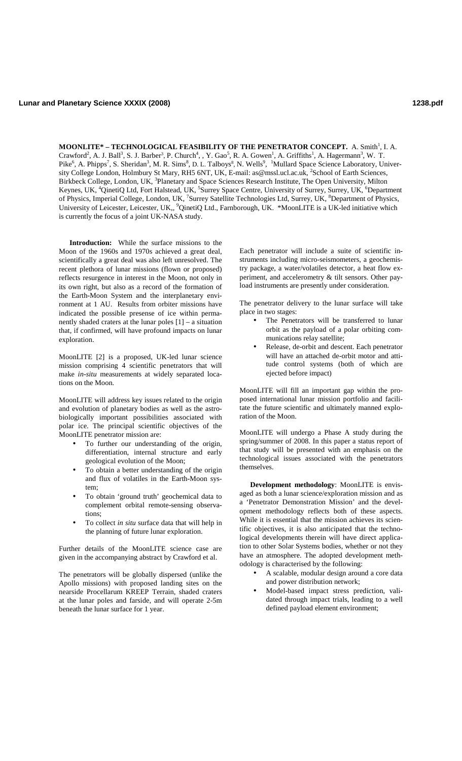**MOONLITE\* – TECHNOLOGICAL FEASIBILITY OF THE PENETRATOR CONCEPT.** A. Smith<sup>1</sup>, I. A. Crawford<sup>2</sup>, A. J. Ball<sup>3</sup>, S. J. Barber<sup>3</sup>, P. Church<sup>4</sup>, , Y. Gao<sup>5</sup>, R. A. Gowen<sup>1</sup>, A. Griffiths<sup>1</sup>, A. Hagermann<sup>3</sup>, W. T. Pike<sup>6</sup>, A. Phipps<sup>7</sup>, S. Sheridan<sup>3</sup>, M. R. Sims<sup>8</sup>, D. L. Talboys<sup>8</sup>, N. Wells<sup>9</sup>, <sup>1</sup>Mullard Space Science Laboratory, University College London, Holmbury St Mary, RH5 6NT, UK, E-mail: as@mssl.ucl.ac.uk, <sup>2</sup>School of Earth Sciences, Birkbeck College, London, UK, <sup>3</sup>Planetary and Space Sciences Research Institute, The Open University, Milton Keynes, UK, <sup>4</sup>QinetiQ Ltd, Fort Halstead, UK, <sup>5</sup>Surrey Space Centre, University of Surrey, Surrey, UK, <sup>6</sup>Department of Physics, Imperial College, London, UK, <sup>7</sup>Surrey Satellite Technologies Ltd, Surrey, UK, <sup>8</sup>Department of Physics, University of Leicester, Leicester, UK,, <sup>9</sup>QinetiQ Ltd., Farnborough, UK. \*MoonLITE is a UK-led initiative which is currently the focus of a joint UK-NASA study.

**Introduction:** While the surface missions to the Moon of the 1960s and 1970s achieved a great deal, scientifically a great deal was also left unresolved. The recent plethora of lunar missions (flown or proposed) reflects resurgence in interest in the Moon, not only in its own right, but also as a record of the formation of the Earth-Moon System and the interplanetary environment at 1 AU. Results from orbiter missions have indicated the possible presense of ice within permanently shaded craters at the lunar poles [1] – a situation that, if confirmed, will have profound impacts on lunar exploration.

MoonLITE [2] is a proposed, UK-led lunar science mission comprising 4 scientific penetrators that will make *in-situ* measurements at widely separated locations on the Moon.

MoonLITE will address key issues related to the origin and evolution of planetary bodies as well as the astrobiologically important possibilities associated with polar ice. The principal scientific objectives of the MoonLITE penetrator mission are:

- To further our understanding of the origin, differentiation, internal structure and early geological evolution of the Moon;
- To obtain a better understanding of the origin and flux of volatiles in the Earth-Moon system;
- To obtain 'ground truth' geochemical data to complement orbital remote-sensing observations;
- To collect *in situ* surface data that will help in the planning of future lunar exploration.

Further details of the MoonLITE science case are given in the accompanying abstract by Crawford et al.

The penetrators will be globally dispersed (unlike the Apollo missions) with proposed landing sites on the nearside Procellarum KREEP Terrain, shaded craters at the lunar poles and farside, and will operate 2-5m beneath the lunar surface for 1 year.

Each penetrator will include a suite of scientific instruments including micro-seismometers, a geochemistry package, a water/volatiles detector, a heat flow experiment, and accelerometry & tilt sensors. Other payload instruments are presently under consideration.

The penetrator delivery to the lunar surface will take place in two stages:

- The Penetrators will be transferred to lunar orbit as the payload of a polar orbiting communications relay satellite;
- Release, de-orbit and descent. Each penetrator will have an attached de-orbit motor and attitude control systems (both of which are ejected before impact)

MoonLITE will fill an important gap within the proposed international lunar mission portfolio and facilitate the future scientific and ultimately manned exploration of the Moon.

MoonLITE will undergo a Phase A study during the spring/summer of 2008. In this paper a status report of that study will be presented with an emphasis on the technological issues associated with the penetrators themselves.

**Development methodology**: MoonLITE is envisaged as both a lunar science/exploration mission and as a 'Penetrator Demonstration Mission' and the development methodology reflects both of these aspects. While it is essential that the mission achieves its scientific objectives, it is also anticipated that the technological developments therein will have direct application to other Solar Systems bodies, whether or not they have an atmosphere. The adopted development methodology is characterised by the following:

- A scalable, modular design around a core data and power distribution network;
- Model-based impact stress prediction, validated through impact trials, leading to a well defined payload element environment;